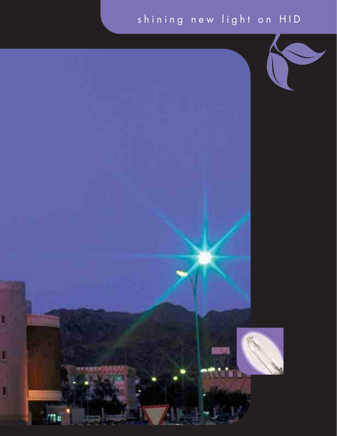## shining new light on HID

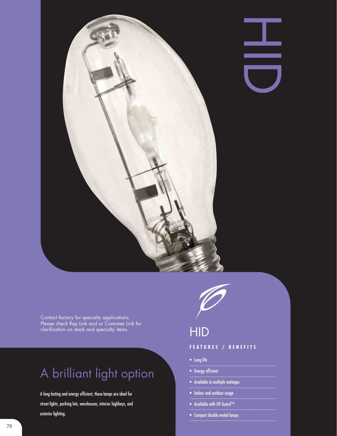

 $\blacklozenge$ 

Contact factory for specialty applications. Please check Rep Link and or Customer Link for clarification on stock and specialty items. Hence, the control  $\Box$ 

## A brilliant light option

A long lasting and energy efficient, these lamps are ideal for street lights, parking lots, warehouses, interior highbays, and exterior lighting.



#### **FEATURES / BENEFITS**

- Long life
- Energy efficient
- Available in multiple wattages
- Indoor and outdoor usage
- Available with UV Guard™
- Compact double ended lamps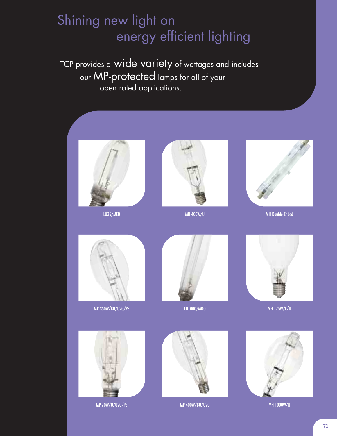## Shining new light on energy efficient lighting

TCP provides a wide variety of wattages and includes our MP-protected lamps for all of your open rated applications.







LU35/MED MH 400W/U MH Double-Ended



MP 350W/BU/UVG/PS LU1000/MOG MH 175W/C/U



MP 70W/U/UVG/PS MP 400W/BU/UVG MH 1000W/U







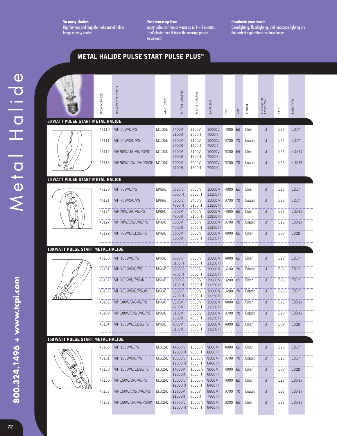**So many choices** High lumens and long life make metal halide lamps an easy choice!

**Fast warm up time** Many pulse start lamps warm up in  $1-2$  minutes. That's faster then it takes the average person to wakeup!

**METAL HALIDE PULSE START PULSE PLUS™**

**Illuminate your world** Downlighting, floodlighting, and landscape lighting are

the perfect applications for these lamps.

|                                          | ITEM NUMBER | <b>ITEM DESCRIPTION</b>                                | ANSI SPEC | INITIAL LUMENS             | MEAN LUMENS              | LAMP LIFE                | CCT                | CRI | FINISH          | OPERATING<br>POSITION | BASE            | <b>BULB TYPE</b> |  |
|------------------------------------------|-------------|--------------------------------------------------------|-----------|----------------------------|--------------------------|--------------------------|--------------------|-----|-----------------|-----------------------|-----------------|------------------|--|
| 50 WATT PULSE START METAL HALIDE         |             |                                                        |           |                            |                          |                          |                    |     |                 |                       |                 |                  |  |
|                                          | 46110       | MH 50W/U/PS                                            | M110/E    | 3400V<br>3100H             | 2200V<br>2000H           | 10000V<br>7500H          | 4000               | 65  | Clear           | $\cup$                | E26             | <b>ED17</b>      |  |
|                                          | 46111       | MH 50W/C/U/PS                                          | M110/E    | 3200V<br>2900H             | 2100V<br>1900H           | 10000V<br>7500H          | 3700               | 70  | Coated          | U                     | E26             | <b>ED17</b>      |  |
|                                          | 46112       | MP 50W/U/UVG/PS/3K                                     | M110/0    | 3200V<br>2900H             | 2100V<br>1900H           | 10000V<br>7500H          | 3200 65            |     | Clear           | U                     | E26             | EDX17            |  |
|                                          | 46113       | MP 50W/C/U/UVG/PS/3K M110/0                            |           | 3000V<br>2700H             | 2000V<br>1800H           | 10000V<br>7500H          | 3200 70            |     | Coated          | U                     | E26             | EDX17            |  |
| 70 WATT PULSE START METAL HALIDE         |             |                                                        |           |                            |                          |                          |                    |     |                 |                       |                 |                  |  |
|                                          | 46120       | MH 70W/U/PS                                            | M98/E     | 5600V<br>5000 H            | 3600 V<br>3300 H         | 15000V<br>11250 H        | 4000               | 65  | Clear           | U                     | E26             | <b>ED17</b>      |  |
|                                          | 46121       | MH 70W/C/U/PS                                          | M98/E     | 5300V<br>4800 H            | 3400V<br>3100 H          | 15000V<br>11250 H        | 3700 70            |     | Coated          | U                     | E26             | <b>ED17</b>      |  |
|                                          | 46124       | MP 70W/U/UVG/PS                                        | M98/0     | 5300V<br>4800H             | 3400 V<br>3100 H         | 15000V<br>11250 H        | 4000 65            |     | Clear           | $\cup$                | E26             | EDX17            |  |
|                                          | 46127       | MP 70W/C/U/UVG/PS                                      | M98/0     | 5000V<br>4500H             | 3300 V<br>3000 H         | 15000V<br>11250 H        | 3700 70            |     | Coated          | U                     | E26             | EDX17            |  |
|                                          | 46122       | MH 70W/U/ED28/PS                                       | M98/E     | 5600V<br>5000H             | 3600 V<br>3300 H         | 15000V<br>11250 H        | 4000 65            |     | Clear           | U                     | E39             | ED <sub>28</sub> |  |
| 100 WATT PULSE START METAL HALIDE        |             |                                                        |           |                            |                          |                          |                    |     |                 |                       |                 |                  |  |
|                                          |             |                                                        |           |                            |                          |                          |                    |     |                 |                       |                 |                  |  |
|                                          | 46130       | <b>MH 100W/U/PS</b>                                    | M90/E     | 9000V<br>8100 H            | 5900 V<br>5300 H         | 15000V<br>11250 H        | 4000               | 65  | Clear           | U                     | E26             | ED17             |  |
|                                          | 46131       | MH 100W/C/U/PS                                         | M90/E     | 8500V<br>7700 H            | 5500 V<br>5000 H         | 15000V<br>11250 H        | 3700 70            |     | Coated          | U                     | E26             | <b>ED17</b>      |  |
|                                          | 46132       | MH 100W/U/PS/3K                                        | M90/E     | 9000V<br>8100 H            | 5900 V<br>5300 H         | 15000V<br>11250 H        | 3200 65            |     | Clear           | U                     | E26             | <b>ED17</b>      |  |
|                                          | 46133       | MH 100W/C/U/PS/3K                                      | M90/E     | 8500V<br>7700 H            | 5500 V<br>5000 H         | 15000V<br>11250 H        | 3200 70            |     | Coated          | U                     | E <sub>26</sub> | <b>ED17</b>      |  |
|                                          | 46136       | MP 100W/U/UVG/PS                                       | M90/0     | 8500V<br>7700H             | 5500 V<br>5000 H         | 15000V<br>11250 H        | 4000               | 65  | Clear           | U                     | E26             | EDX17            |  |
|                                          |             | 46139 MP 100W/C/U/UVG/PS                               | M90/0     | 8100V<br>7300H             | 5300 V<br>4800 H         | 15000V<br>11250 H        | 3700 70            |     | Coated          | U                     | E <sub>26</sub> | EDX17            |  |
|                                          |             | 46134 MH 100W/U/ED28/PS                                | M90/E     | 9000V<br>8100H             | 5900 V<br>5300 H         | 15000V<br>11250 H        | 4000 65            |     | Clear           | U                     | E39             | ED <sub>28</sub> |  |
| <b>150 WATT PULSE START METAL HALIDE</b> |             |                                                        |           |                            |                          |                          |                    |     |                 |                       |                 |                  |  |
|                                          | 46156       | MH 150W/U/PS                                           | M102/E    | 14000V<br>12600 H          | 10500V<br>9500 H         | 9800V<br>8800 H          | 4000 65            |     | Clear           | U                     | E <sub>26</sub> | ED17             |  |
|                                          | 46161       | MH 150W/C/U/PS                                         | M102/E    | 13300V<br>12000 H          | 10000V<br>9000 H         | 9300V<br>8400 H          | 3700 70            |     | Coated          | U                     | E26             | <b>ED17</b>      |  |
|                                          | 46158       | MH 150W/U/ED28/PS                                      | M102/E    | 14000V<br>12600H           | 10500V<br>9500 H         | 9800V<br>8800 H          | 4000 65            |     | Clear           | $\sf U$               | E39             | <b>ED28</b>      |  |
|                                          | 46150       | MP 150W/U/UVG/PS                                       | M102/0    | 13300 V<br>12000 H         | 10000V<br>9000 H         | 9300V<br>8400 H          | 4000 65            |     | Clear           | $\cup$                | E26             | EDX17            |  |
|                                          | 46155       | MP 150W/C/U/UVG/PS<br>46152 MP 150W/U/UVG/PS/3K M102/0 | M102/0    | 12600V<br>11300H<br>13300V | 9500V<br>8500H<br>10000V | 8800V<br>7900 H<br>9800V | 3700 70<br>3200 65 |     | Coated<br>Clear | U<br>U                | E26<br>E26      | EDX17<br>EDX17   |  |

**800.324.1496 + www.tcpi.com**

800.324.1496 + www.tcpi.com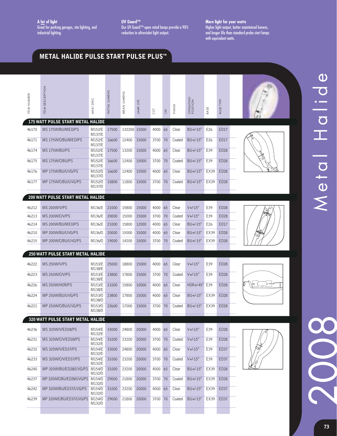**UV Guard™** Our UV Guard™ open rated lamps provide a 90% reduction in ultraviolet light output.

**More light for your watts** Higher light output, better maintained lumens, and longer life than standard probe start lamps with equivalent watts.

### **METAL HALIDE PULSE START PULSE PLUS™**

| ITEM NUMBER | DESCRIPTION<br>ITEM <sup>1</sup>         | ANSI SPEC                  | INITIAL LUMENS | MEAN LUMENS  | LIFE<br>LAMP | CCT     | CRI | FINISH | <b>OPERATING</b><br>POSITION | BASE            | <b>BULB TYPE</b> |  |
|-------------|------------------------------------------|----------------------------|----------------|--------------|--------------|---------|-----|--------|------------------------------|-----------------|------------------|--|
|             | <b>175 WATT PULSE START METAL HALIDE</b> |                            |                |              |              |         |     |        |                              |                 |                  |  |
| 46170       | MS 175W/BU/MED/PS                        | M152/E<br>M137/E           | 17500          | 132200 15000 |              | 4000    | 65  | Clear  | $BU+/-15^\circ$              | E26             | <b>ED17</b>      |  |
| 46171       | MS 175W/C/BU/MED/PS                      | M152/E<br>M137/E           | 16600          | 12400        | 15000        | 3700    | 70  | Coated | $BU+/-15^\circ$              | E26             | <b>ED17</b>      |  |
| 46174       | MS 175W/BU/PS                            | M152/E<br>M137/E           | 17500          | 13200        | 15000        | 4000    | 65  | Clear  | $BU+/-15^\circ$              | E39             | <b>ED28</b>      |  |
| 46175       | MS 175W/C/BU/PS                          | M152/E<br>M137/E           | 16600          | 12400        | 15000        | 3700    | 70  | Coated | $BU+/-15^\circ$              | E39             | <b>ED28</b>      |  |
| 46176       | MP 175W/BU/UVG/PS                        | M152/0<br>M137/0           | 16600          | 12400        | 15000        | 4000 65 |     | Clear  | $BU+/-15^\circ$              | EX39            | <b>ED28</b>      |  |
| 46177       | MP 175W/C/BU/UVG/PS                      | M152/0<br>M137/0           | 15800          | 11800        | 15000        | 3700    | 70  | Coated | $BU+/-15^\circ$              | EX39            | <b>ED28</b>      |  |
|             | <b>200 WATT PULSE START METAL HALIDE</b> |                            |                |              |              |         |     |        |                              |                 |                  |  |
|             |                                          |                            |                |              |              |         |     |        |                              |                 |                  |  |
| 46212       | MS 200W/V/PS                             | M136/E                     | 21000          | 15800        | 15000        | 4000    | 65  | Clear  | $V + -15^\circ$              | E39             | ED <sub>28</sub> |  |
| 46213       | MS 200W/C/V/PS                           | M136/E                     | 20000          | 15000        | 15000        | 3700    | 70  | Coated | $V + -15^\circ$              | E39             | <b>ED28</b>      |  |
| 46214       | MS 200W/BU/MED/PS                        | M136/E                     | 21000          | 15800        | 12000        | 4000    | 65  | Clear  | $BU+/-15^\circ$              | E <sub>26</sub> | <b>ED17</b>      |  |
| 46210       | MP 200W/BU/UVG/PS                        | M136/0                     | 20000          | 15000        | 15000        | 4000    | 65  | Clear  | $BU+/-15^\circ$              | EX39            | ED <sub>28</sub> |  |
| 46215       | MP 200W/C/BU/UVG/PS                      | M136/0                     | 19000          | 14200        | 15000        | 3700 70 |     | Coated | $BU+/-15^\circ$              | EX39            | <b>ED28</b>      |  |
|             |                                          |                            |                |              |              |         |     |        |                              |                 |                  |  |
|             | 250 WATT PULSE START METAL HALIDE        |                            |                |              |              |         |     |        |                              |                 |                  |  |
| 46222       | MS 250W/V/PS                             | M153/E<br>M138/E           | 25000          | 18800        | 15000        | 4000    | 65  | Clear  | $V + -15^\circ$              | E39             | <b>ED28</b>      |  |
| 46223       | MS 250W/C/V/PS                           | M153/E<br>M138/E           | 23800          | 17800        | 15000        | 3700    | 70  | Coated | $V + -15^\circ$              | E39             | <b>ED28</b>      |  |
| 46226       | MS 250W/HOR/PS                           | M153/E<br>M138/E           | 21000          | 15800        | 10000        | 4000    | 65  | Clear  | $HOR+/45^\circ$              | E39             | <b>ED28</b>      |  |
| 46224       | MP 250W/BU/UVG/PS                        | M153/0<br>M138/0           | 23800          | 17800        | 15000        | 4000    | 65  | Clear  | $BU+/-15^\circ$              | EX39            | <b>ED28</b>      |  |
| 46221       | MP 250W/C/BU/UVG/PS                      | M153/0<br>M138/0           | 22600          | 17000        | 15000        | 3700 70 |     | Coated | $BU+/-15^\circ$              | EX39            | ED28             |  |
|             | 320 WATT PULSE START METAL HALIDE        |                            |                |              |              |         |     |        |                              |                 |                  |  |
| 46236       | MS 320W/V/ED28/PS                        | M154/E                     | 33000          | 24800        | 20000        | 4000 65 |     | Clear  | $V + -15^\circ$              | E39             | ED <sub>28</sub> |  |
| 46231       | MS 320W/C/V/ED28/PS                      | M132/E<br>M154/E           | 31000          | 23200        | 20000        | 3700 70 |     | Coated | $V + -15^\circ$              | E39             | ED28             |  |
| 46232       | MS 320W/V/ED37/PS                        | M132/E<br>M154/E<br>M132/E | 33000          | 24800        | 20000        | 4000 65 |     | Clear  | $V + -15^\circ$              | E39             | ED37             |  |
| 46233       | MS 320W/C/V/ED37/PS                      | M154/E<br>M132/E           | 31000          | 23200        | 20000        | 3700 70 |     | Coated | $V + -15^\circ$              | E39             | ED37             |  |
| 46240       | MP 320W/BU/ED28/UVG/PS M154/0            | M132/0                     | 31000          | 23200        | 20000        | 4000 65 |     | Clear  | $BU+/-15^\circ$              | EX39            | ED28             |  |
| 46237       | MP 320W/C/BU/ED28/UVG/PS                 | M154/0<br>M132/0           | 29000          | 21800        | 20000        | 3700 70 |     | Coated | BU+/-15°                     | EX39            | <b>ED28</b>      |  |
| 46242       | MP 320W/BU/ED37/UVG/PS                   | M154/0<br>M132/0           | 31000          | 23200        | 20000        | 4000 65 |     | Clear  | $BU+/-15^\circ$              | EX39            | ED37             |  |
| 46239       | MP 320W/C/BU/ED37/UVG/PS                 | M154/0<br>M132/0           | 29000          | 21800        | 20000        | 3700 70 |     | Coated | BU+/-15°                     | EX39            | ED37             |  |
|             |                                          |                            |                |              |              |         |     |        |                              |                 |                  |  |

**73**

2008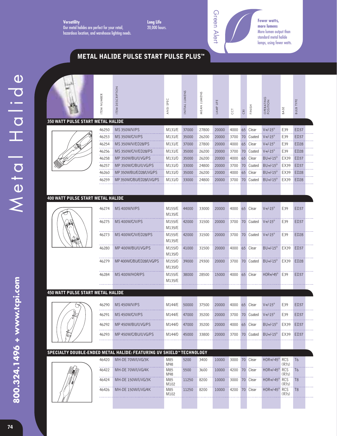**Versatility** Our metal halides are perfect for your retail, hazardous location, and warehouse lighting needs. **Long Life** 20,000 hours.



**Fewer watts, more lumens** More lumen output than standard metal halide lamps, using fewer watts.

## **METAL HALIDE PULSE START PULSE PLUS™**

| 350 WATT PULSE START METAL HALIDE        | ITEM NUMBER    | <b>DESCRIPTION</b><br>ITEM                                           | SPEC<br>AN <sub>SI</sub> | INITIAL LUMENS | MEAN LUMENS    | LAMP LIFE      | CCT           | CRI | FINISH             | OPERATING<br>POSITION                | BASE       | <b>BULB TYPE</b>                |  |
|------------------------------------------|----------------|----------------------------------------------------------------------|--------------------------|----------------|----------------|----------------|---------------|-----|--------------------|--------------------------------------|------------|---------------------------------|--|
|                                          |                |                                                                      |                          |                |                |                |               |     |                    |                                      |            |                                 |  |
|                                          | 46250          | MS 350W/V/PS                                                         | M131/E                   | 37000          | 27800          | 20000          | 4000          |     | 65 Clear           | $V + -15^\circ$                      | E39        | <b>ED37</b>                     |  |
|                                          | 46253          | MS 350W/C/V/PS                                                       | M131/E                   | 35000          | 26200          | 20000          | 3700          |     | 70 Coated          | $V + -15^\circ$                      | E39        | ED37                            |  |
|                                          | 46254<br>46256 | MS 350W/V/ED28/PS<br>MS350W/C/V/ED28/PS                              | M131/E<br>M131/E         | 37000<br>35000 | 27800<br>26200 | 20000<br>20000 | 4000<br>3700  | 65  | Clear<br>70 Coated | $V + -15^\circ$<br>$V + (-15^\circ)$ | E39<br>E39 | ED <sub>28</sub><br><b>ED28</b> |  |
|                                          | 46258          | MP 350W/BU/UVG/PS                                                    | M131/0                   | 35000          | 26200          | 20000          | 4000          | 65  | Clear              | $BU+/-15^\circ$                      | EX39       | ED37                            |  |
|                                          | 46257          | MP 350W/C/BU/UVG/PS                                                  |                          | 33000          |                |                |               | 70  | Coated             | $BU+/-15^\circ$                      | EX39       | ED37                            |  |
|                                          | 46260          | MP350W/BU/ED28/UVG/PS                                                | M131/0<br>M131/0         | 35000          | 24800<br>26200 | 20000<br>20000 | 3700          | 65  | Clear              | $BU+/-15^\circ$                      | EX39       | <b>ED28</b>                     |  |
|                                          | 46259          | MP350W/C/BU/ED28/UVG/PS                                              | M131/0                   | 33000          | 24800          | 20000          | 4000<br>3700  |     | 70 Coated          | $BU+/-15^\circ$                      | EX39       | ED <sub>28</sub>                |  |
|                                          |                |                                                                      |                          |                |                |                |               |     |                    |                                      |            |                                 |  |
|                                          |                |                                                                      |                          |                |                |                |               |     |                    |                                      |            |                                 |  |
| <b>400 WATT PULSE START METAL HALIDE</b> |                |                                                                      |                          |                |                |                |               |     |                    |                                      |            |                                 |  |
|                                          | 46274          | MS 400W/V/PS                                                         | M155/E<br>M135/E         | 44000          | 33000          | 20000          | 4000          |     | 65 Clear           | $V + -15^\circ$                      | E39        | ED37                            |  |
|                                          | 46275          | MS400W/C/V/PS                                                        | M155/E<br>M135/E         | 42000          | 31500          | 20000          | 3700          |     | 70 Coated          | $V + -15^\circ$                      | E39        | ED37                            |  |
|                                          | 46273          | MS400W/C/V/ED28/PS                                                   | M155/E<br>M135/E         | 42000          | 31500          | 20000          | 3700          |     | 70 Coated          | $V + -15^\circ$                      | E39        | ED <sub>28</sub>                |  |
|                                          | 46280          | MP 400W/BU/UVG/PS                                                    | M155/0<br>M135/0         | 41000          | 31500          | 20000          | 4000          |     | 65 Clear           | $BU+/-15^\circ$                      | EX39       | <b>ED37</b>                     |  |
|                                          | 46279          | MP400W/C/BU/ED28/UVG/PS                                              | M155/0<br>M135/0         | 39000          | 29300          | 20000          | 3700          |     | 70 Coated          | $BU+/-15^\circ$                      | EX39       | <b>ED28</b>                     |  |
|                                          | 46284          | MS 400W/HOR/PS                                                       | M155/E<br>M135/E         | 38000          | 28500          | 15000          | 4000          |     | 65 Clear           | $HOR+/-45^\circ$                     | E39        | ED37                            |  |
| <b>450 WATT PULSE START METAL HALIDE</b> |                |                                                                      |                          |                |                |                |               |     |                    |                                      |            |                                 |  |
|                                          |                |                                                                      |                          |                |                |                |               |     |                    |                                      |            |                                 |  |
|                                          | 46290          | MS450W/V/PS                                                          | M144/E                   | 50000          | 37500          | 20000          | 4000          |     | 65 Clear           | $V + -15^\circ$                      | E39        | ED37                            |  |
|                                          | 46291          | MS 450W/C/V/PS                                                       | M144/E                   | 47000          | 35200          | 20000          | 3700          |     | 70 Coated          | $V + -15^\circ$                      | E39        | ED37                            |  |
|                                          | 46292          | MP 450W/BU/UVG/PS                                                    | M144/0                   | 47000          | 35200          | 20000          | 4000          |     | 65 Clear           | $BU+/-15^\circ$                      | EX39       | ED37                            |  |
|                                          | 46293          | MP 450W/C/BU/UVG/PS                                                  | M144/0                   | 45000          | 33800          | 20000          | 3700          |     | 70 Coated          | $BU+/-15^\circ$                      | EX39       | ED37                            |  |
|                                          |                |                                                                      |                          |                |                |                |               |     |                    |                                      |            |                                 |  |
|                                          |                | SPECIALTY DOUBLE-ENDED METAL HALIDE: FEATURING UV SHIELD™ TECHNOLOGY |                          |                |                |                |               |     |                    |                                      |            |                                 |  |
|                                          | 46420          | MH-DE 70W/UVG/3K                                                     | M85<br>M98               | 5200           | 3400           | 10000          | 3000          |     | 70 Clear           | HOR+/-45° RCS                        | (R7s)      | T <sub>6</sub>                  |  |
|                                          | 46422          | MH-DE 70W/UVG/4K                                                     | M85<br>M98               | 5500           | 3600           | 10000          | 4200 70 Clear |     |                    | HOR+/-45° RCS                        | (R7s)      | T <sub>6</sub>                  |  |
|                                          | 46424          | MH-DE 150W/UVG/3K                                                    | M85<br>M102              | 11250          | 8200           | 10000          | 3000 70 Clear |     |                    | HOR+/-45° RCS                        | (R7s)      | T <sub>8</sub>                  |  |
|                                          | 46426          | MH-DE 150W/UVG/4K                                                    | M85<br>M102              | 11250          | 8200           | 10000          | 4200          |     | 70 Clear           | HOR+/-45° RCS                        | (R7s)      | T <sub>8</sub>                  |  |
|                                          |                |                                                                      |                          |                |                |                |               |     |                    |                                      |            |                                 |  |

**800.324.1496 + www.tcpi.com**

800.324.1496 + www.tcpi.com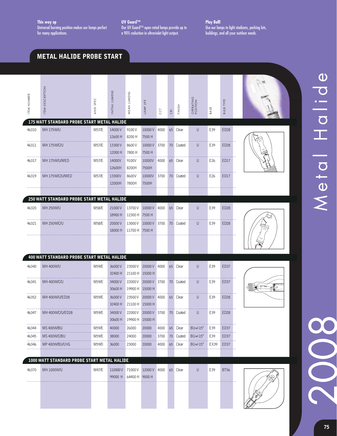**UV Guard™** Our UV Guard™ open rated lamps provide up to a 90% reduction in ultraviolet light output.

**Play Ball!** Use our lamps to light stadiums, parking lots, buildings, and all your outdoor needs.

#### **METAL HALIDE PROBE START**

| ITEM NUMBER        | ITEM DESCRIPTION                                  | ANSI SPEC | INITIAL LUMENS                                                | MEAN LUMENS                | LAMP LIFE                      | CCT  | CRI | FINISH    | OPERATING<br>POSITION | BASE            | <b>BULB TYPE</b> |  |
|--------------------|---------------------------------------------------|-----------|---------------------------------------------------------------|----------------------------|--------------------------------|------|-----|-----------|-----------------------|-----------------|------------------|--|
|                    | 175 WATT STANDARD PROBE START METAL HALIDE        |           |                                                               |                            |                                |      |     |           |                       |                 |                  |  |
| 46310              | <b>MH 175W/U</b>                                  | M57/E     | 14000V<br>12600 H                                             | 9100V<br>8200 H            | 10000V 4000<br>7500 H          |      |     | 65 Clear  | $\mathsf{U}$          | E39             | <b>ED28</b>      |  |
| 46311              | <b>MH 175W/C/U</b>                                | M57/E     | 13300V<br>12000 H                                             | 8600 V<br>7800 H           | 10000V 3700<br>7500 H          |      |     | 70 Coated | U                     | E39             | <b>ED28</b>      |  |
| 46317              | MH 175W/U/MED                                     | M57/E     | 14000V<br>12600H                                              | 9100V<br>8200H             | 10000V 4000<br>7500H           |      |     | 65 Clear  | U                     | E <sub>26</sub> | ED17             |  |
| 46319              | MH 175W/C/U/MED                                   | M57/E     | 13300V<br>12000H                                              | 8600V<br>7800H             | 10000V 3700 70 Coated<br>7500H |      |     |           | U                     | E26             | <b>ED17</b>      |  |
|                    |                                                   |           |                                                               |                            |                                |      |     |           |                       |                 |                  |  |
|                    | 250 WATT STANDARD PROBE START METAL HALIDE        |           |                                                               |                            |                                |      |     |           |                       |                 |                  |  |
| 46320              | MH 250W/U                                         | M58/E     | 21000V<br>18900 H                                             | 12300 H 7500 H             | 13700 V 10000 V 4000           |      |     | 65 Clear  | $\cup$                | E39             | <b>ED28</b>      |  |
| 46321              | <b>MH 250W/C/U</b>                                | M58/E     | 20000V<br>18000 H                                             | 13000V<br>11700 H 7500 H   | 10000 V 3700                   |      |     | 70 Coated | U                     | E39             | <b>ED28</b>      |  |
|                    |                                                   |           |                                                               |                            |                                |      |     |           |                       |                 |                  |  |
|                    | <b>400 WATT STANDARD PROBE START METAL HALIDE</b> |           |                                                               |                            |                                |      |     |           |                       |                 |                  |  |
| 46340              | MH 400W/U                                         | M59/E     | 36000V<br>32400 H                                             | 23500V<br>21100 H 15000 H  | 20000 V 4000                   |      |     | 65 Clear  | U                     | E39             | <b>ED37</b>      |  |
| 46341              | MH 400W/C/U                                       | M59/E     | 34000V<br>30600H                                              | 22000 V<br>19900 H 15000 H | 20000 V 3700                   |      |     | 70 Coated | U                     | E39             | ED37             |  |
| 46352              | MH 400W/U/ED28                                    | M59/E     | 36000V<br>32400 H                                             | 21100 H 15000 H            | 23500 V 20000 V 4000           |      |     | 65 Clear  | U                     | E39             | <b>ED28</b>      |  |
| 46347              | MH 400W/C/U/ED28                                  | M59/E     | 34000V<br>30600H                                              | 19900 H 15000 H            | 22000 V 20000 V 3700 70 Coated |      |     |           | U                     | E39             | ED <sub>28</sub> |  |
| ---------<br>46344 | MS400W/BU                                         | M59/E     | 40000                                                         | 26000                      | 20000                          | 4000 |     | 65 Clear  | $BU+/-15^\circ$       | E39             | ED37             |  |
| -------<br>46345   | MS 400W/C/BU                                      | M59/E     | 38000                                                         | 24000                      | 20000                          | 3700 |     | 70 Coated | $BU+/-15^\circ$       | E39             | ED37             |  |
| -------<br>46346   | MP 400W/BU/UVG                                    | M59/0     | 36000                                                         | 23000                      | 20000                          | 4000 |     | 65 Clear  | $BU+/-15^\circ$       | EX39            | ED37             |  |
|                    |                                                   |           |                                                               |                            |                                |      |     |           |                       |                 |                  |  |
|                    | 1000 WATT STANDARD PROBE START METAL HALIDE       |           |                                                               |                            |                                |      |     |           |                       |                 |                  |  |
| 46370              | MH 1000W/U                                        | M47/E     | 110000V 71000V 12000V 4000 65 Clear<br>99000 H 64400 H 9000 H |                            |                                |      |     |           | U                     | E39             | <b>BT56</b>      |  |

2008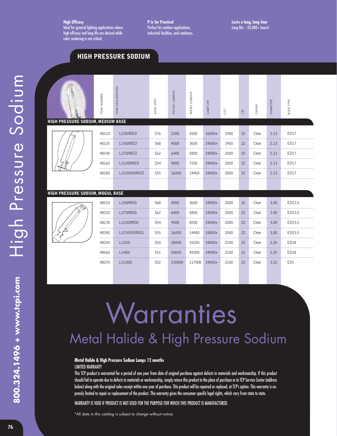**High Efficacy** Ideal for general lighting applications where high efficacy and long life are desired while color rendering is not critical

**HIGH PRESSURE SODIUM**

**P is for Practical** Perfect for outdoor applications, industrial facilities, and roadways.

# High Pressure Sodium High Pressure Sodium 800.324.1496 + www.tcpi.com **800.324.1496 + www.tcpi.com**

|                                          | ITEM NUMBER | <b>ITEM DESCRIPTION</b> | ANSI SPEC       | INITIAL LUMENS | MEAN LUMENS | LAMP LIFE | CCT  | $\overline{\text{CR}}$ | FINISH | <b>DIAMETER</b> | <b>BULB TYPE</b> |
|------------------------------------------|-------------|-------------------------|-----------------|----------------|-------------|-----------|------|------------------------|--------|-----------------|------------------|
| <b>HIGH PRESSURE SODIUM, MEDIUM BASE</b> |             |                         |                 |                |             |           |      |                        |        |                 |                  |
|                                          | 48110       | LU35/MED                | S76             | 2200           | 2000        | 16000+    | 1900 | 22                     | Clear  | 2.13            | ED17             |
|                                          | 48120       | LU50/MED                | S68             | 4000           | 3600        | 24000+    | 1900 | 22                     | Clear  | 2.13            | <b>ED17</b>      |
|                                          | 48140       | LU70/MED                | S62             | 6400           | 5800        | 24000+    | 2000 | 22                     | Clear  | 2.13            | ED17             |
|                                          | 48160       | LU100/MED               | S <sub>54</sub> | 9000           | 7200        | 24000+    | 2000 | 22                     | Clear  | 2.13            | ED17             |
|                                          | 48180       | LU150/55/MED            | S <sub>55</sub> | 16000          | 14400       | 24000+    | 2000 | 22                     | Clear  | 2.13            | ED17             |
|                                          |             |                         |                 |                |             |           |      |                        |        |                 |                  |
| HIGH PRESSURE SODIUM, MOGUL BASE         |             |                         |                 |                |             |           |      |                        |        |                 |                  |
|                                          | 48210       | LU50/M0G                | <b>S68</b>      | 4000           | 3600        | 24000+    | 2000 | 22                     | Clear  | 3.00            | ED23.5           |
|                                          | 48220       | LU70/MOG                | S62             | 6400           | 5800        | 24000+    | 2000 | 22                     | Clear  | 3.00            | ED23.5           |
|                                          | 48230       | LU100/M0G               | S54             | 9500           | 8500        | 24000+    | 2000 | 22                     | Clear  | 3.00            | ED23.5           |
|                                          | 48240       | LU150/55/M0G            | S <sub>55</sub> | 16000          | 14400       | 24000+    | 2000 | 22                     | Clear  | 3.00            | ED23.5           |
|                                          | 48250       | LU250                   | S50             | 28000          | 25200       | 24000+    | 2100 | 22                     | Clear  | 2.25            | ED18             |
|                                          | 48260       | LU400                   | S51             | 50000          | 45000       | 24000+    | 2100 | 22                     | Clear  | 2.25            | ED18             |
|                                          | 48270       | LU1000                  | S <sub>52</sub> | 130000         | 117000      | 24000+    | 2100 | 22                     | Clear  | 3.12            | E <sub>25</sub>  |

# **Warranties** Metal Halide & High Pressure Sodium

#### **Metal Halide & High Pressure Sodium Lamps 12 months** LIMITED WARRANTY

This TCP product is warranted for a period of one year from date of original purchase against defects in materials and workmanship. If this product should fail to operate due to defects in materials or workmanship, simply return this product to the place of purchase or to TCP Service Center (address below) along with the original sales receipt within one year of purchase. This product will be repaired or replaced, at TCP's option. This warranty is expressly limited to repair or replacement of the product. This warranty gives the consumer specific legal rights, which vary from state to state.

WARRANTY IS VOID IF PRODUCT IS NOT USED FOR THE PURPOSE FOR WHICH THIS PRODUCT IS MANUFACTURED.

\*All data in this catalog is subject to change without notice.